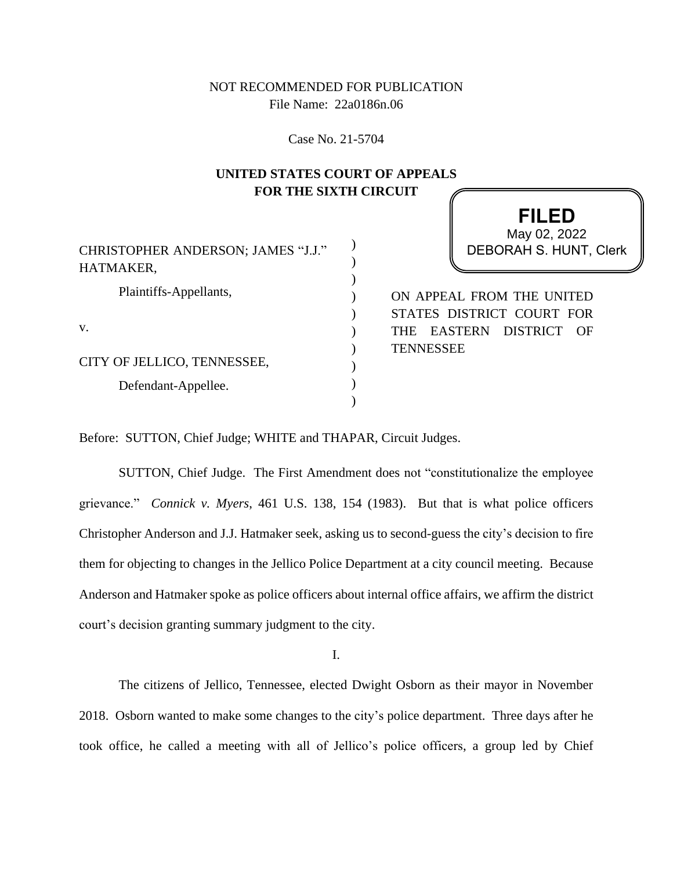## NOT RECOMMENDED FOR PUBLICATION File Name: 22a0186n.06

Case No. 21-5704

## **UNITED STATES COURT OF APPEALS FOR THE SIXTH CIRCUIT**

| CHRISTOPHER ANDERSON; JAMES "J.J."<br>HATMAKER, | May 02, 2022<br>DEBORAH S. HUNT, Clerk |
|-------------------------------------------------|----------------------------------------|
|                                                 |                                        |
| Plaintiffs-Appellants,                          | ON APPEAL FROM THE UNITED              |
|                                                 | STATES DISTRICT COURT FOR              |
| v.                                              | THE EASTERN DISTRICT OF                |
|                                                 | <b>TENNESSEE</b>                       |
| CITY OF JELLICO, TENNESSEE,                     |                                        |
| Defendant-Appellee.                             |                                        |
|                                                 |                                        |

**FILED**

Before: SUTTON, Chief Judge; WHITE and THAPAR, Circuit Judges.

SUTTON, Chief Judge. The First Amendment does not "constitutionalize the employee grievance." *Connick v. Myers*, 461 U.S. 138, 154 (1983). But that is what police officers Christopher Anderson and J.J. Hatmaker seek, asking us to second-guess the city's decision to fire them for objecting to changes in the Jellico Police Department at a city council meeting. Because Anderson and Hatmaker spoke as police officers about internal office affairs, we affirm the district court's decision granting summary judgment to the city.

I.

The citizens of Jellico, Tennessee, elected Dwight Osborn as their mayor in November 2018. Osborn wanted to make some changes to the city's police department. Three days after he took office, he called a meeting with all of Jellico's police officers, a group led by Chief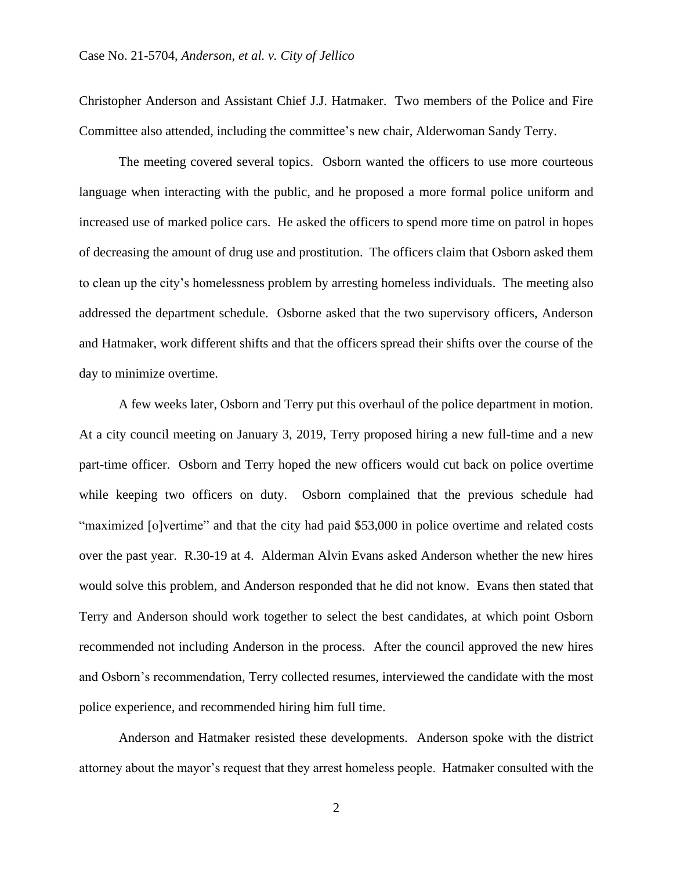Christopher Anderson and Assistant Chief J.J. Hatmaker. Two members of the Police and Fire Committee also attended, including the committee's new chair, Alderwoman Sandy Terry.

The meeting covered several topics. Osborn wanted the officers to use more courteous language when interacting with the public, and he proposed a more formal police uniform and increased use of marked police cars. He asked the officers to spend more time on patrol in hopes of decreasing the amount of drug use and prostitution. The officers claim that Osborn asked them to clean up the city's homelessness problem by arresting homeless individuals. The meeting also addressed the department schedule. Osborne asked that the two supervisory officers, Anderson and Hatmaker, work different shifts and that the officers spread their shifts over the course of the day to minimize overtime.

A few weeks later, Osborn and Terry put this overhaul of the police department in motion. At a city council meeting on January 3, 2019, Terry proposed hiring a new full-time and a new part-time officer. Osborn and Terry hoped the new officers would cut back on police overtime while keeping two officers on duty. Osborn complained that the previous schedule had "maximized [o]vertime" and that the city had paid \$53,000 in police overtime and related costs over the past year. R.30-19 at 4. Alderman Alvin Evans asked Anderson whether the new hires would solve this problem, and Anderson responded that he did not know. Evans then stated that Terry and Anderson should work together to select the best candidates, at which point Osborn recommended not including Anderson in the process. After the council approved the new hires and Osborn's recommendation, Terry collected resumes, interviewed the candidate with the most police experience, and recommended hiring him full time.

Anderson and Hatmaker resisted these developments. Anderson spoke with the district attorney about the mayor's request that they arrest homeless people. Hatmaker consulted with the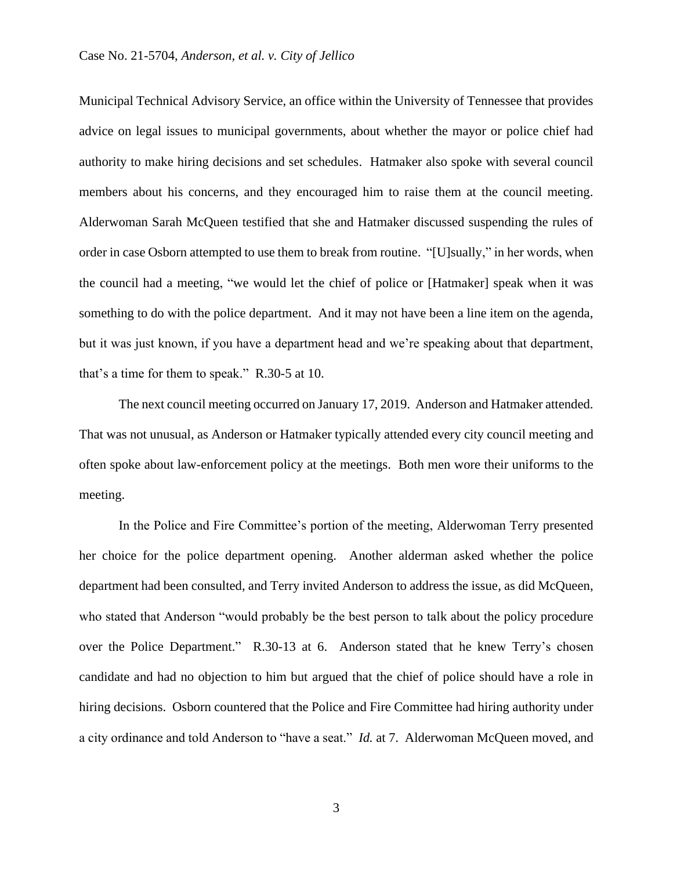Municipal Technical Advisory Service, an office within the University of Tennessee that provides advice on legal issues to municipal governments, about whether the mayor or police chief had authority to make hiring decisions and set schedules. Hatmaker also spoke with several council members about his concerns, and they encouraged him to raise them at the council meeting. Alderwoman Sarah McQueen testified that she and Hatmaker discussed suspending the rules of order in case Osborn attempted to use them to break from routine. "[U]sually," in her words, when the council had a meeting, "we would let the chief of police or [Hatmaker] speak when it was something to do with the police department. And it may not have been a line item on the agenda, but it was just known, if you have a department head and we're speaking about that department, that's a time for them to speak." R.30-5 at 10.

The next council meeting occurred on January 17, 2019. Anderson and Hatmaker attended. That was not unusual, as Anderson or Hatmaker typically attended every city council meeting and often spoke about law-enforcement policy at the meetings. Both men wore their uniforms to the meeting.

In the Police and Fire Committee's portion of the meeting, Alderwoman Terry presented her choice for the police department opening. Another alderman asked whether the police department had been consulted, and Terry invited Anderson to address the issue, as did McQueen, who stated that Anderson "would probably be the best person to talk about the policy procedure over the Police Department." R.30-13 at 6. Anderson stated that he knew Terry's chosen candidate and had no objection to him but argued that the chief of police should have a role in hiring decisions. Osborn countered that the Police and Fire Committee had hiring authority under a city ordinance and told Anderson to "have a seat." *Id.* at 7. Alderwoman McQueen moved, and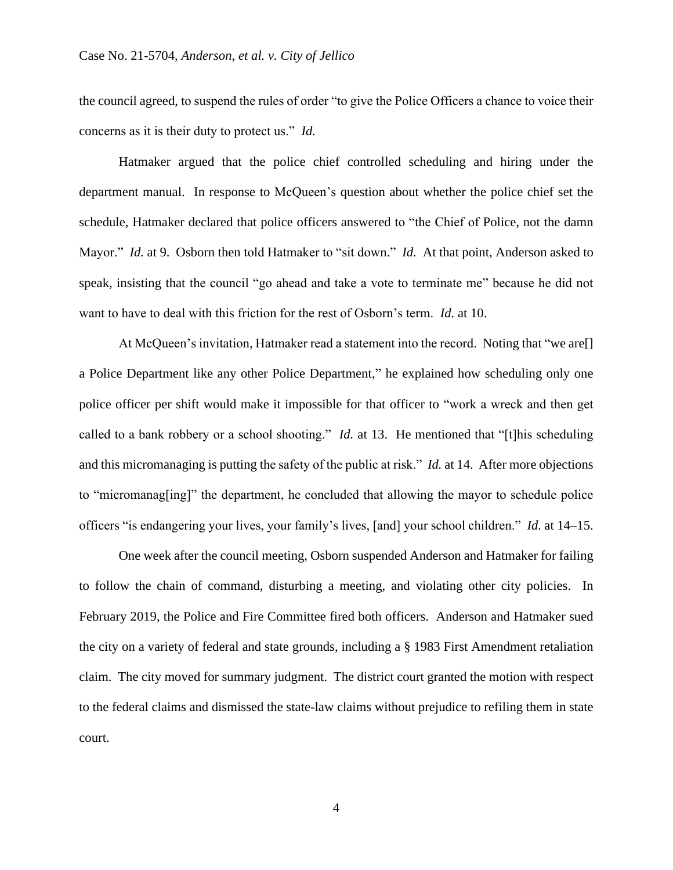the council agreed, to suspend the rules of order "to give the Police Officers a chance to voice their concerns as it is their duty to protect us." *Id.*

Hatmaker argued that the police chief controlled scheduling and hiring under the department manual. In response to McQueen's question about whether the police chief set the schedule, Hatmaker declared that police officers answered to "the Chief of Police, not the damn Mayor." *Id.* at 9. Osborn then told Hatmaker to "sit down." *Id.* At that point, Anderson asked to speak, insisting that the council "go ahead and take a vote to terminate me" because he did not want to have to deal with this friction for the rest of Osborn's term. *Id.* at 10.

At McQueen's invitation, Hatmaker read a statement into the record. Noting that "we are[] a Police Department like any other Police Department," he explained how scheduling only one police officer per shift would make it impossible for that officer to "work a wreck and then get called to a bank robbery or a school shooting." *Id.* at 13. He mentioned that "[t]his scheduling and this micromanaging is putting the safety of the public at risk." *Id.* at 14. After more objections to "micromanag[ing]" the department, he concluded that allowing the mayor to schedule police officers "is endangering your lives, your family's lives, [and] your school children." *Id.* at 14–15.

One week after the council meeting, Osborn suspended Anderson and Hatmaker for failing to follow the chain of command, disturbing a meeting, and violating other city policies. In February 2019, the Police and Fire Committee fired both officers. Anderson and Hatmaker sued the city on a variety of federal and state grounds, including a § 1983 First Amendment retaliation claim. The city moved for summary judgment. The district court granted the motion with respect to the federal claims and dismissed the state-law claims without prejudice to refiling them in state court.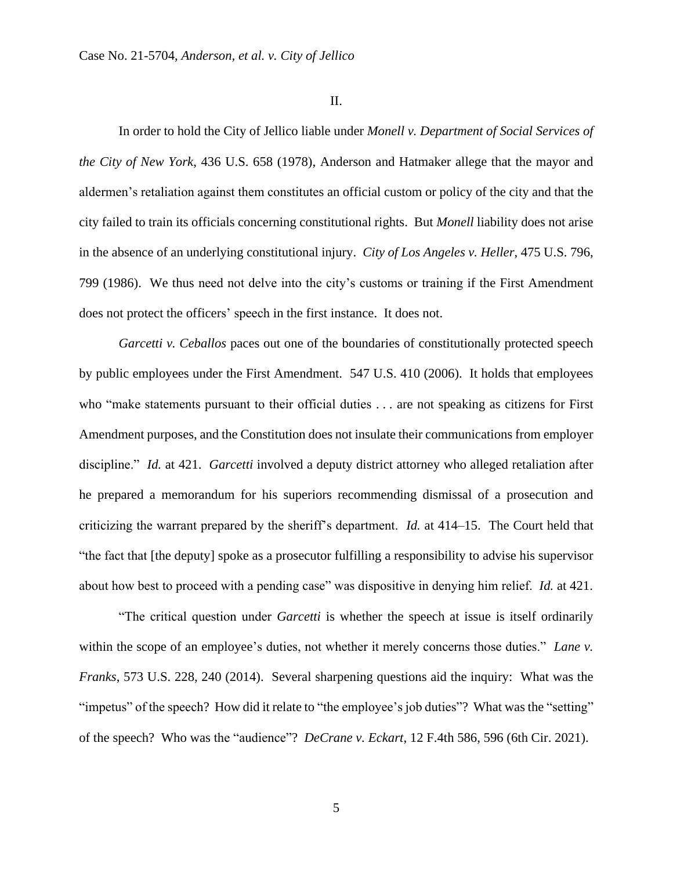II.

In order to hold the City of Jellico liable under *Monell v. Department of Social Services of the City of New York*, 436 U.S. 658 (1978), Anderson and Hatmaker allege that the mayor and aldermen's retaliation against them constitutes an official custom or policy of the city and that the city failed to train its officials concerning constitutional rights. But *Monell* liability does not arise in the absence of an underlying constitutional injury. *City of Los Angeles v. Heller*, 475 U.S. 796, 799 (1986). We thus need not delve into the city's customs or training if the First Amendment does not protect the officers' speech in the first instance. It does not.

*Garcetti v. Ceballos* paces out one of the boundaries of constitutionally protected speech by public employees under the First Amendment. 547 U.S. 410 (2006). It holds that employees who "make statements pursuant to their official duties . . . are not speaking as citizens for First Amendment purposes, and the Constitution does not insulate their communications from employer discipline." *Id.* at 421. *Garcetti* involved a deputy district attorney who alleged retaliation after he prepared a memorandum for his superiors recommending dismissal of a prosecution and criticizing the warrant prepared by the sheriff's department. *Id.* at 414–15. The Court held that "the fact that [the deputy] spoke as a prosecutor fulfilling a responsibility to advise his supervisor about how best to proceed with a pending case" was dispositive in denying him relief. *Id.* at 421.

"The critical question under *Garcetti* is whether the speech at issue is itself ordinarily within the scope of an employee's duties, not whether it merely concerns those duties." *Lane v. Franks*, 573 U.S. 228, 240 (2014). Several sharpening questions aid the inquiry: What was the "impetus" of the speech? How did it relate to "the employee's job duties"? What was the "setting" of the speech? Who was the "audience"? *DeCrane v. Eckart*, 12 F.4th 586, 596 (6th Cir. 2021).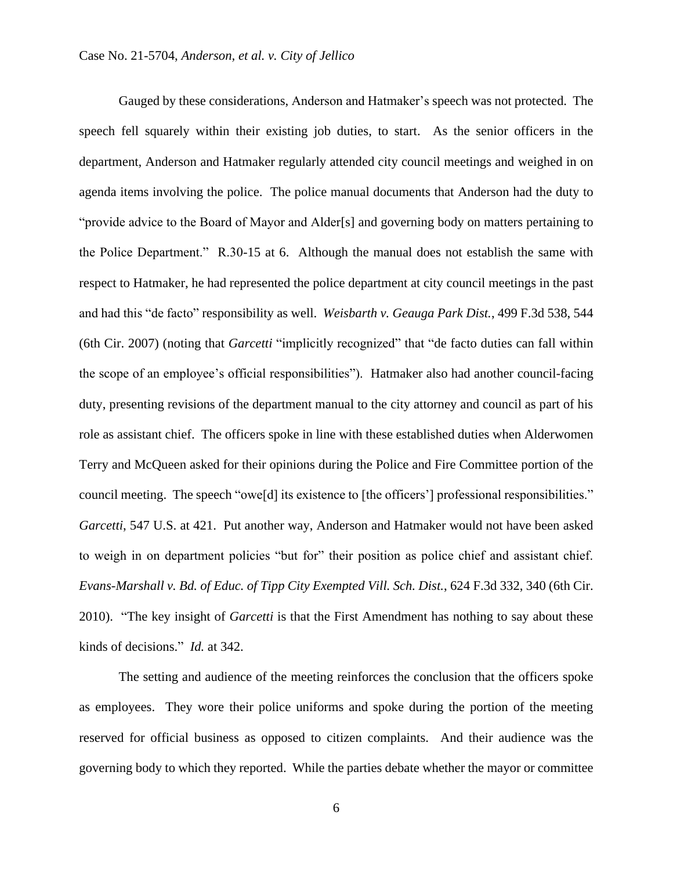Gauged by these considerations, Anderson and Hatmaker's speech was not protected. The speech fell squarely within their existing job duties, to start. As the senior officers in the department, Anderson and Hatmaker regularly attended city council meetings and weighed in on agenda items involving the police. The police manual documents that Anderson had the duty to "provide advice to the Board of Mayor and Alder[s] and governing body on matters pertaining to the Police Department." R.30-15 at 6. Although the manual does not establish the same with respect to Hatmaker, he had represented the police department at city council meetings in the past and had this "de facto" responsibility as well. *Weisbarth v. Geauga Park Dist.*, 499 F.3d 538, 544 (6th Cir. 2007) (noting that *Garcetti* "implicitly recognized" that "de facto duties can fall within the scope of an employee's official responsibilities"). Hatmaker also had another council-facing duty, presenting revisions of the department manual to the city attorney and council as part of his role as assistant chief. The officers spoke in line with these established duties when Alderwomen Terry and McQueen asked for their opinions during the Police and Fire Committee portion of the council meeting. The speech "owe[d] its existence to [the officers'] professional responsibilities." *Garcetti*, 547 U.S. at 421. Put another way, Anderson and Hatmaker would not have been asked to weigh in on department policies "but for" their position as police chief and assistant chief. *Evans-Marshall v. Bd. of Educ. of Tipp City Exempted Vill. Sch. Dist.*, 624 F.3d 332, 340 (6th Cir. 2010). "The key insight of *Garcetti* is that the First Amendment has nothing to say about these kinds of decisions." *Id.* at 342.

The setting and audience of the meeting reinforces the conclusion that the officers spoke as employees. They wore their police uniforms and spoke during the portion of the meeting reserved for official business as opposed to citizen complaints. And their audience was the governing body to which they reported. While the parties debate whether the mayor or committee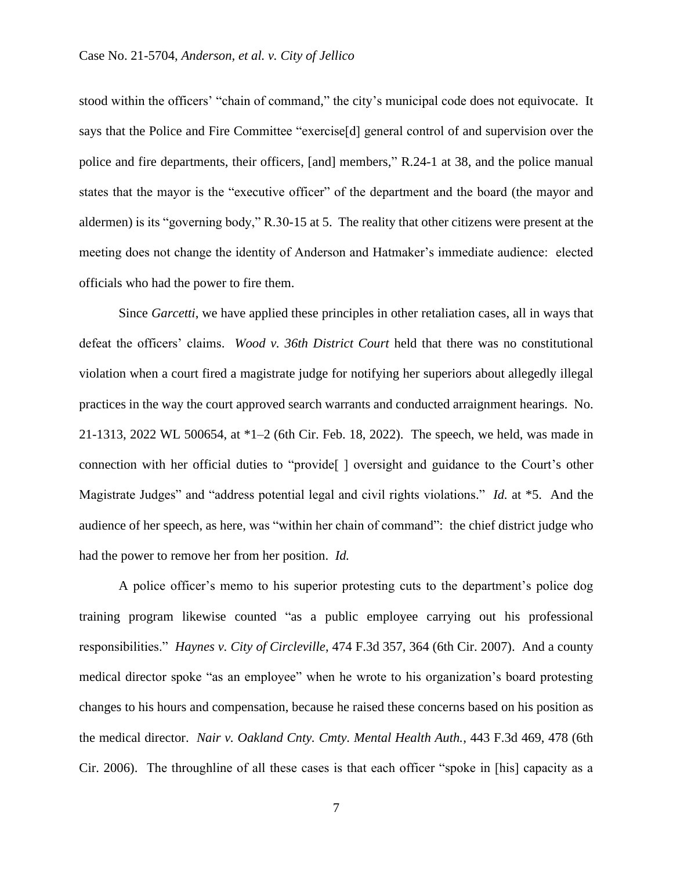stood within the officers' "chain of command," the city's municipal code does not equivocate. It says that the Police and Fire Committee "exercise[d] general control of and supervision over the police and fire departments, their officers, [and] members," R.24-1 at 38, and the police manual states that the mayor is the "executive officer" of the department and the board (the mayor and aldermen) is its "governing body," R.30-15 at 5. The reality that other citizens were present at the meeting does not change the identity of Anderson and Hatmaker's immediate audience: elected officials who had the power to fire them.

Since *Garcetti*, we have applied these principles in other retaliation cases, all in ways that defeat the officers' claims. *Wood v. 36th District Court* held that there was no constitutional violation when a court fired a magistrate judge for notifying her superiors about allegedly illegal practices in the way the court approved search warrants and conducted arraignment hearings. No. 21-1313, 2022 WL 500654, at \*1–2 (6th Cir. Feb. 18, 2022). The speech, we held, was made in connection with her official duties to "provide<sup>[]</sup> oversight and guidance to the Court's other Magistrate Judges" and "address potential legal and civil rights violations." *Id.* at \*5. And the audience of her speech, as here, was "within her chain of command": the chief district judge who had the power to remove her from her position. *Id.*

A police officer's memo to his superior protesting cuts to the department's police dog training program likewise counted "as a public employee carrying out his professional responsibilities." *Haynes v. City of Circleville*, 474 F.3d 357, 364 (6th Cir. 2007). And a county medical director spoke "as an employee" when he wrote to his organization's board protesting changes to his hours and compensation, because he raised these concerns based on his position as the medical director. *Nair v. Oakland Cnty. Cmty. Mental Health Auth.*, 443 F.3d 469, 478 (6th Cir. 2006). The throughline of all these cases is that each officer "spoke in [his] capacity as a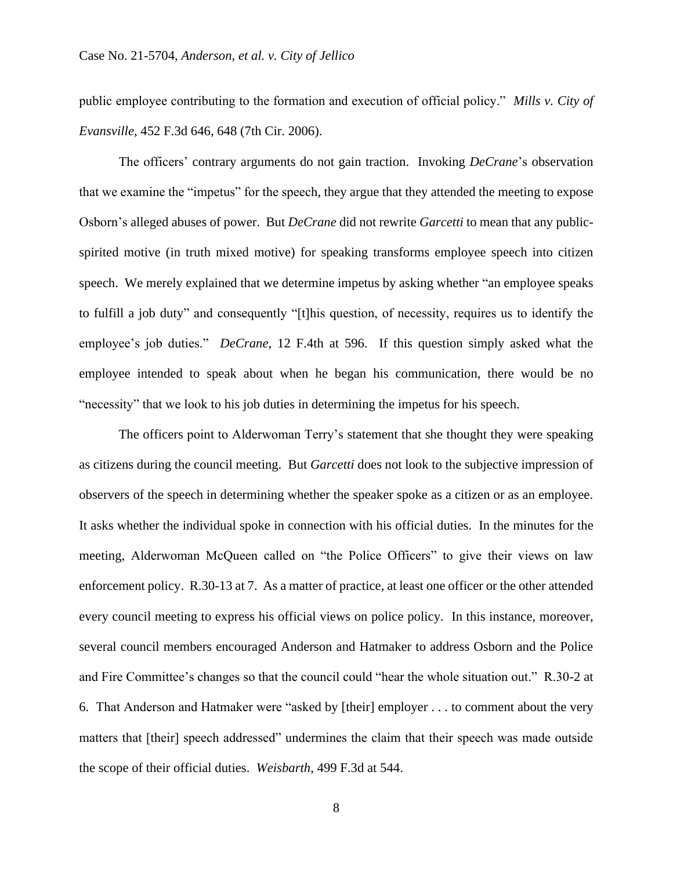public employee contributing to the formation and execution of official policy." *Mills v. City of Evansville*, 452 F.3d 646, 648 (7th Cir. 2006).

The officers' contrary arguments do not gain traction. Invoking *DeCrane*'s observation that we examine the "impetus" for the speech, they argue that they attended the meeting to expose Osborn's alleged abuses of power. But *DeCrane* did not rewrite *Garcetti* to mean that any publicspirited motive (in truth mixed motive) for speaking transforms employee speech into citizen speech. We merely explained that we determine impetus by asking whether "an employee speaks to fulfill a job duty" and consequently "[t]his question, of necessity, requires us to identify the employee's job duties." *DeCrane*, 12 F.4th at 596. If this question simply asked what the employee intended to speak about when he began his communication, there would be no "necessity" that we look to his job duties in determining the impetus for his speech.

The officers point to Alderwoman Terry's statement that she thought they were speaking as citizens during the council meeting. But *Garcetti* does not look to the subjective impression of observers of the speech in determining whether the speaker spoke as a citizen or as an employee. It asks whether the individual spoke in connection with his official duties. In the minutes for the meeting, Alderwoman McQueen called on "the Police Officers" to give their views on law enforcement policy. R.30-13 at 7. As a matter of practice, at least one officer or the other attended every council meeting to express his official views on police policy. In this instance, moreover, several council members encouraged Anderson and Hatmaker to address Osborn and the Police and Fire Committee's changes so that the council could "hear the whole situation out." R.30-2 at 6. That Anderson and Hatmaker were "asked by [their] employer . . . to comment about the very matters that [their] speech addressed" undermines the claim that their speech was made outside the scope of their official duties. *Weisbarth*, 499 F.3d at 544.